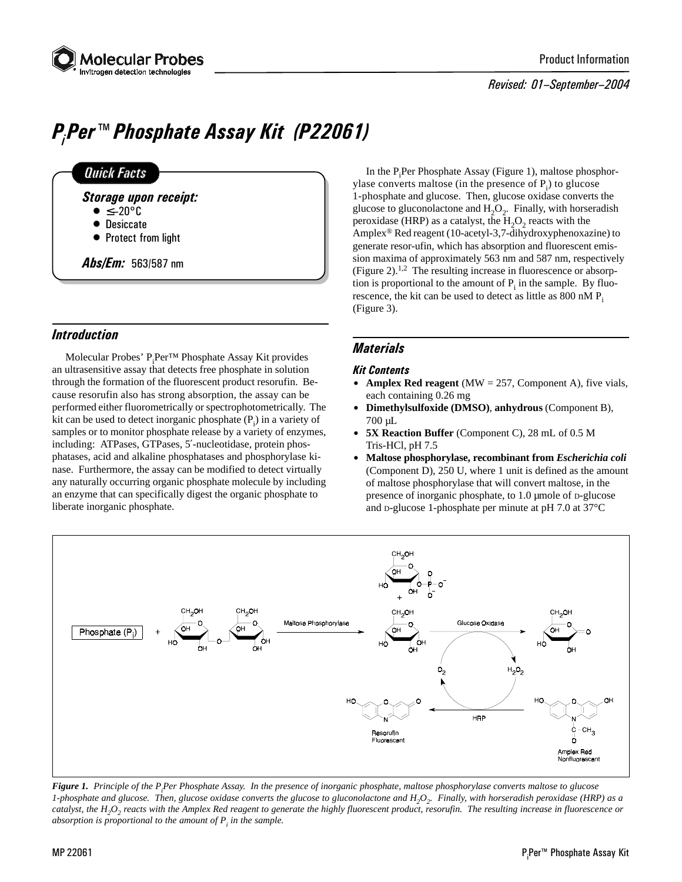

#### Revised: 01-September-2004

# P<sub>i</sub>Per™ Phosphate Assay Kit (P22061)

# **Quick Facts**

- Storage upon receipt:
	- $\bullet \leq -20$ °C
	- Desiccate
	- Protect from light

Abs/Em: 563/587 nm

# **Introduction**

Molecular Probes' P<sub>i</sub>Per™ Phosphate Assay Kit provides an ultrasensitive assay that detects free phosphate in solution through the formation of the fluorescent product resorufin. Because resorufin also has strong absorption, the assay can be performed either fluorometrically or spectrophotometrically. The kit can be used to detect inorganic phosphate  $(P_i)$  in a variety of samples or to monitor phosphate release by a variety of enzymes, including: ATPases, GTPases, 5′-nucleotidase, protein phosphatases, acid and alkaline phosphatases and phosphorylase kinase. Furthermore, the assay can be modified to detect virtually any naturally occurring organic phosphate molecule by including an enzyme that can specifically digest the organic phosphate to liberate inorganic phosphate.

In the P<sub>i</sub>Per Phosphate Assay (Figure 1), maltose phosphorylase converts maltose (in the presence of  $P_i$ ) to glucose 1-phosphate and glucose. Then, glucose oxidase converts the glucose to gluconolactone and  $H_2O_2$ . Finally, with horseradish peroxidase (HRP) as a catalyst, the  $H_2O_2$  reacts with the Amplex® Red reagent (10-acetyl-3,7-dihydroxyphenoxazine) to generate resor-ufin, which has absorption and fluorescent emission maxima of approximately 563 nm and 587 nm, respectively (Figure 2).<sup>1,2</sup> The resulting increase in fluorescence or absorption is proportional to the amount of  $P_i$  in the sample. By fluorescence, the kit can be used to detect as little as  $800 \text{ nM P}$ . (Figure 3).

# **Materials**

#### Kit Contents

- **Amplex Red reagent** (MW  $= 257$ , Component A), five vials, each containing 0.26 mg
- \$ **Dimethylsulfoxide (DMSO)**, **anhydrous** (Component B), 700 µL
- 5X Reaction Buffer (Component C), 28 mL of 0.5 M Tris-HCl, pH 7.5
- \$ **Maltose phosphorylase, recombinant from** *Escherichia coli* (Component D), 250 U, where 1 unit is defined as the amount of maltose phosphorylase that will convert maltose, in the presence of inorganic phosphate, to 1.0 µmole of D-glucose and D-glucose 1-phosphate per minute at pH 7.0 at 37°C



**Figure 1.** Principle of the P<sub>i</sub>Per Phosphate Assay. In the presence of inorganic phosphate, maltose phosphorylase converts maltose to glucose *1-phosphate and glucose. Then, glucose oxidase converts the glucose to gluconolactone and H<sub>2</sub>O<sub>2</sub>. Finally, with horseradish peroxidase (HRP) as a* catalyst, the H<sub>2</sub>O<sub>2</sub> reacts with the Amplex Red reagent to generate the highly fluorescent product, resorufin. The resulting increase in fluorescence or *absorption is proportional to the amount of Pi in the sample.*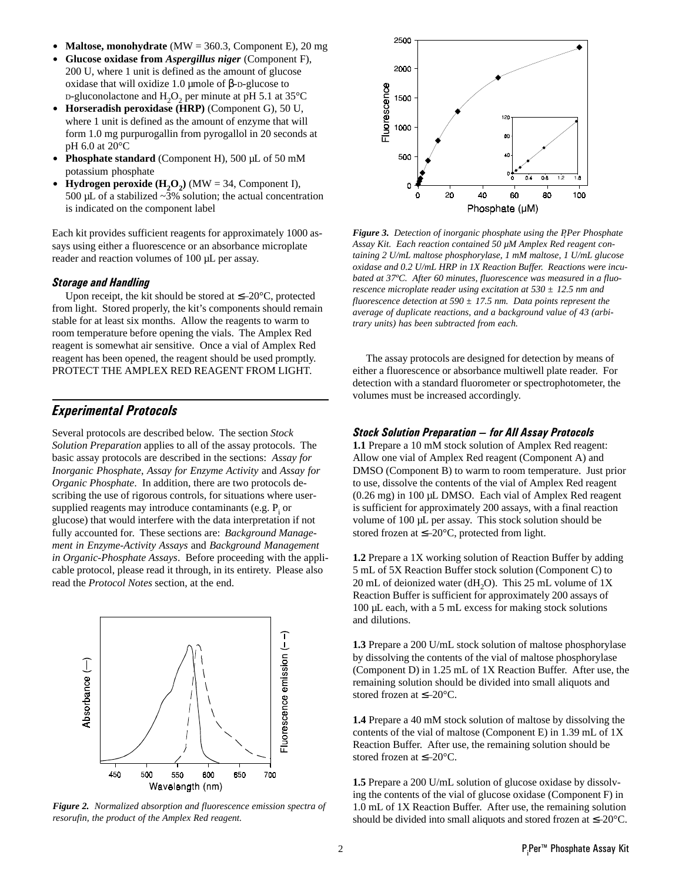- **Maltose, monohydrate**  $(MW = 360.3,$  Component E), 20 mg
- \$ **Glucose oxidase from** *Aspergillus niger* (Component F), 200 U, where 1 unit is defined as the amount of glucose oxidase that will oxidize 1.0 µmole of β-D-glucose to  $p$ -gluconolactone and H<sub>2</sub>O<sub>2</sub> per minute at pH 5.1 at 35 $\degree$ C
- \$ **Horseradish peroxidase (HRP)** (Component G), 50 U, where 1 unit is defined as the amount of enzyme that will form 1.0 mg purpurogallin from pyrogallol in 20 seconds at pH 6.0 at 20°C
- **Phosphate standard** (Component H), 500 µL of 50 mM potassium phosphate
- **Hydrogen peroxide**  $(H_2O_2)$  (MW = 34, Component I), 500  $\mu$ L of a stabilized  $\sim$ 3% solution; the actual concentration is indicated on the component label

Each kit provides sufficient reagents for approximately 1000 assays using either a fluorescence or an absorbance microplate reader and reaction volumes of 100 µL per assay.

#### Storage and Handling

Upon receipt, the kit should be stored at  $\leq -20^{\circ}$ C, protected from light. Stored properly, the kit's components should remain stable for at least six months. Allow the reagents to warm to room temperature before opening the vials. The Amplex Red reagent is somewhat air sensitive. Once a vial of Amplex Red reagent has been opened, the reagent should be used promptly. PROTECT THE AMPLEX RED REAGENT FROM LIGHT.

## Experimental Protocols

Several protocols are described below. The section *Stock Solution Preparation* applies to all of the assay protocols. The basic assay protocols are described in the sections: *Assay for Inorganic Phosphate*, *Assay for Enzyme Activity* and *Assay for Organic Phosphate*. In addition, there are two protocols describing the use of rigorous controls, for situations where usersupplied reagents may introduce contaminants (e.g.  $P_i$  or glucose) that would interfere with the data interpretation if not fully accounted for. These sections are: *Background Management in Enzyme-Activity Assays* and *Background Management in Organic-Phosphate Assays*. Before proceeding with the applicable protocol, please read it through, in its entirety. Please also read the *Protocol Notes* section, at the end.



*Figure 2. Normalized absorption and fluorescence emission spectra of resorufin, the product of the Amplex Red reagent.*



*Figure 3. Detection of inorganic phosphate using the PiPer Phosphate Assay Kit. Each reaction contained 50 µM Amplex Red reagent containing 2 U/mL maltose phosphorylase, 1 mM maltose, 1 U/mL glucose oxidase and 0.2 U/mL HRP in 1X Reaction Buffer. Reactions were incubated at 37ºC. After 60 minutes, fluorescence was measured in a fluorescence microplate reader using excitation at 530 ± 12.5 nm and fluorescence detection at 590 ± 17.5 nm. Data points represent the average of duplicate reactions, and a background value of 43 (arbitrary units) has been subtracted from each.*

The assay protocols are designed for detection by means of either a fluorescence or absorbance multiwell plate reader. For detection with a standard fluorometer or spectrophotometer, the volumes must be increased accordingly.

#### **Stock Solution Preparation - for All Assay Protocols**

**1.1** Prepare a 10 mM stock solution of Amplex Red reagent: Allow one vial of Amplex Red reagent (Component A) and DMSO (Component B) to warm to room temperature. Just prior to use, dissolve the contents of the vial of Amplex Red reagent (0.26 mg) in 100 µL DMSO. Each vial of Amplex Red reagent is sufficient for approximately 200 assays, with a final reaction volume of 100 µL per assay. This stock solution should be stored frozen at ≤–20°C, protected from light.

**1.2** Prepare a 1X working solution of Reaction Buffer by adding 5 mL of 5X Reaction Buffer stock solution (Component C) to 20 mL of deionized water (dH<sub>2</sub>O). This 25 mL volume of  $1X$ Reaction Buffer is sufficient for approximately 200 assays of 100 µL each, with a 5 mL excess for making stock solutions and dilutions.

**1.3** Prepare a 200 U/mL stock solution of maltose phosphorylase by dissolving the contents of the vial of maltose phosphorylase (Component D) in 1.25 mL of 1X Reaction Buffer. After use, the remaining solution should be divided into small aliquots and stored frozen at ≤–20°C.

**1.4** Prepare a 40 mM stock solution of maltose by dissolving the contents of the vial of maltose (Component E) in 1.39 mL of 1X Reaction Buffer. After use, the remaining solution should be stored frozen at ≤–20°C.

**1.5** Prepare a 200 U/mL solution of glucose oxidase by dissolving the contents of the vial of glucose oxidase (Component F) in 1.0 mL of 1X Reaction Buffer. After use, the remaining solution should be divided into small aliquots and stored frozen at ≤–20°C.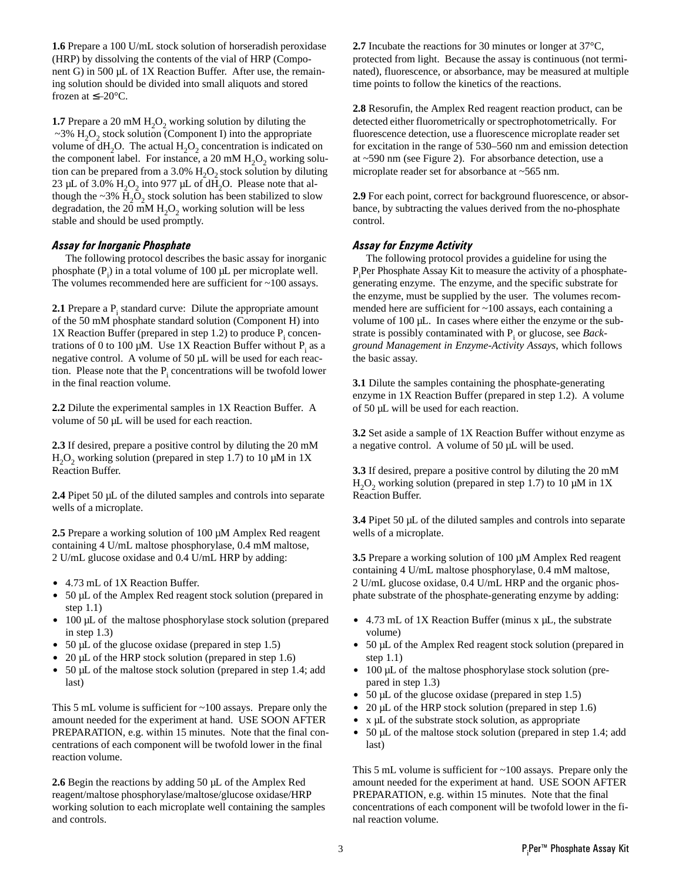**1.6** Prepare a 100 U/mL stock solution of horseradish peroxidase (HRP) by dissolving the contents of the vial of HRP (Component G) in 500 µL of 1X Reaction Buffer. After use, the remaining solution should be divided into small aliquots and stored frozen at  $\leq -20$ °C.

**1.7** Prepare a 20 mM  $H_2O_2$  working solution by diluting the  $\sim$ 3% H<sub>2</sub>O<sub>2</sub> stock solution (Component I) into the appropriate volume of  $dH_2O$ . The actual  $H_2O_2$  concentration is indicated on the component label. For instance, a 20 mM  $H_2O_2$  working solution can be prepared from a 3.0%  $H_2O_2$  stock solution by diluting 23 µL of 3.0%  $H_2O_2$  into 977 µL of dH<sub>2</sub>O. Please note that although the  $\sim$ 3% H<sub>2</sub>O<sub>2</sub> stock solution has been stabilized to slow degradation, the 20 mM  $H<sub>2</sub>O<sub>2</sub>$  working solution will be less stable and should be used promptly.

#### Assay for Inorganic Phosphate

The following protocol describes the basic assay for inorganic phosphate  $(P_i)$  in a total volume of 100  $\mu$ L per microplate well. The volumes recommended here are sufficient for ~100 assays.

**2.1** Prepare a P<sub>i</sub> standard curve: Dilute the appropriate amount of the 50 mM phosphate standard solution (Component H) into 1X Reaction Buffer (prepared in step 1.2) to produce  $P_i$  concentrations of 0 to 100  $\mu$ M. Use 1X Reaction Buffer without  $P_i$  as a negative control. A volume of 50  $\mu$ L will be used for each reaction. Please note that the  $P_i$  concentrations will be twofold lower in the final reaction volume.

**2.2** Dilute the experimental samples in 1X Reaction Buffer. A volume of 50 µL will be used for each reaction.

**2.3** If desired, prepare a positive control by diluting the 20 mM H<sub>2</sub>O<sub>2</sub> working solution (prepared in step 1.7) to 10  $\mu$ M in 1X Reaction Buffer.

**2.4** Pipet 50 µL of the diluted samples and controls into separate wells of a microplate.

**2.5** Prepare a working solution of 100 µM Amplex Red reagent containing 4 U/mL maltose phosphorylase, 0.4 mM maltose, 2 U/mL glucose oxidase and 0.4 U/mL HRP by adding:

- 4.73 mL of 1X Reaction Buffer.
- 50 µL of the Amplex Red reagent stock solution (prepared in step 1.1)
- 100 µL of the maltose phosphorylase stock solution (prepared in step 1.3)
- $\bullet$  50 µL of the glucose oxidase (prepared in step 1.5)
- $20 \mu L$  of the HRP stock solution (prepared in step 1.6)
- $\bullet$  50 µL of the maltose stock solution (prepared in step 1.4; add last)

This 5 mL volume is sufficient for ~100 assays. Prepare only the amount needed for the experiment at hand. USE SOON AFTER PREPARATION, e.g. within 15 minutes. Note that the final concentrations of each component will be twofold lower in the final reaction volume.

**2.6** Begin the reactions by adding 50 µL of the Amplex Red reagent/maltose phosphorylase/maltose/glucose oxidase/HRP working solution to each microplate well containing the samples and controls.

**2.7** Incubate the reactions for 30 minutes or longer at 37°C, protected from light. Because the assay is continuous (not terminated), fluorescence, or absorbance, may be measured at multiple time points to follow the kinetics of the reactions.

**2.8** Resorufin, the Amplex Red reagent reaction product, can be detected either fluorometrically or spectrophotometrically. For fluorescence detection, use a fluorescence microplate reader set for excitation in the range of 530–560 nm and emission detection at ~590 nm (see Figure 2). For absorbance detection, use a microplate reader set for absorbance at ~565 nm.

**2.9** For each point, correct for background fluorescence, or absorbance, by subtracting the values derived from the no-phosphate control.

#### Assay for Enzyme Activity

The following protocol provides a guideline for using the P<sub>i</sub>Per Phosphate Assay Kit to measure the activity of a phosphategenerating enzyme. The enzyme, and the specific substrate for the enzyme, must be supplied by the user. The volumes recommended here are sufficient for ~100 assays, each containing a volume of 100 µL. In cases where either the enzyme or the substrate is possibly contaminated with P<sub>i</sub> or glucose, see *Background Management in Enzyme-Activity Assays*, which follows the basic assay.

**3.1** Dilute the samples containing the phosphate-generating enzyme in 1X Reaction Buffer (prepared in step 1.2). A volume of 50 µL will be used for each reaction.

**3.2** Set aside a sample of 1X Reaction Buffer without enzyme as a negative control. A volume of 50 µL will be used.

**3.3** If desired, prepare a positive control by diluting the 20 mM H<sub>2</sub>O<sub>2</sub> working solution (prepared in step 1.7) to 10  $\mu$ M in 1X Reaction Buffer.

**3.4** Pipet 50 µL of the diluted samples and controls into separate wells of a microplate.

**3.5** Prepare a working solution of 100 µM Amplex Red reagent containing 4 U/mL maltose phosphorylase, 0.4 mM maltose, 2 U/mL glucose oxidase, 0.4 U/mL HRP and the organic phosphate substrate of the phosphate-generating enzyme by adding:

- $\bullet$  4.73 mL of 1X Reaction Buffer (minus x  $\mu$ L, the substrate volume)
- 50 µL of the Amplex Red reagent stock solution (prepared in step 1.1)
- 100 µL of the maltose phosphorylase stock solution (prepared in step 1.3)
- $\bullet$  50 µL of the glucose oxidase (prepared in step 1.5)
- $\bullet$  20 µL of the HRP stock solution (prepared in step 1.6)
- $\bullet$  x µL of the substrate stock solution, as appropriate
- $\bullet$  50 µL of the maltose stock solution (prepared in step 1.4; add last)

This 5 mL volume is sufficient for ~100 assays. Prepare only the amount needed for the experiment at hand. USE SOON AFTER PREPARATION, e.g. within 15 minutes. Note that the final concentrations of each component will be twofold lower in the final reaction volume.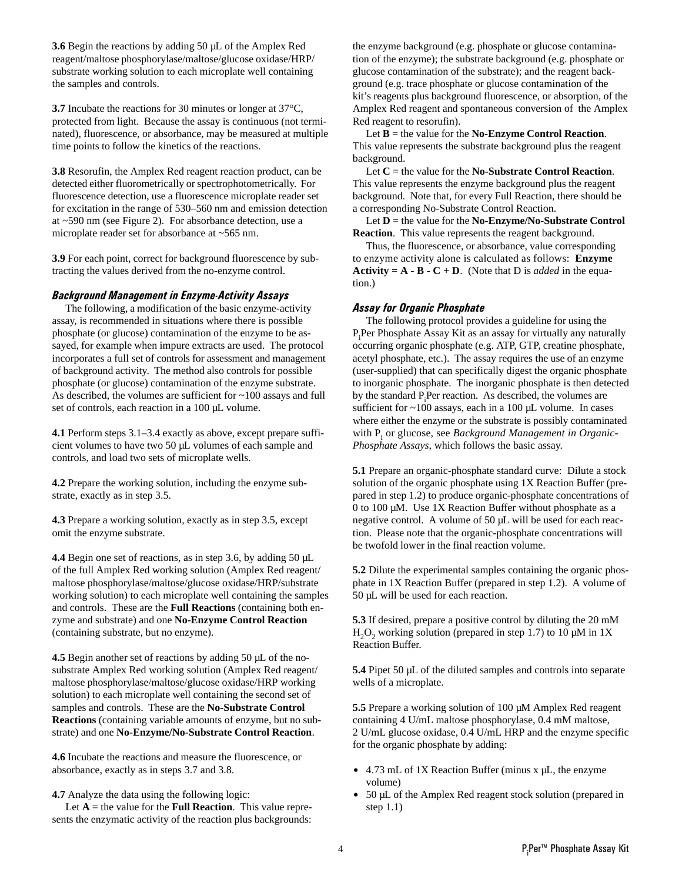**3.6** Begin the reactions by adding 50 µL of the Amplex Red reagent/maltose phosphorylase/maltose/glucose oxidase/HRP/ substrate working solution to each microplate well containing the samples and controls.

**3.7** Incubate the reactions for 30 minutes or longer at 37<sup>o</sup>C, protected from light. Because the assay is continuous (not terminated), fluorescence, or absorbance, may be measured at multiple time points to follow the kinetics of the reactions.

**3.8** Resorufin, the Amplex Red reagent reaction product, can be detected either fluorometrically or spectrophotometrically. For fluorescence detection, use a fluorescence microplate reader set for excitation in the range of 530–560 nm and emission detection at ~590 nm (see Figure 2). For absorbance detection, use a microplate reader set for absorbance at ~565 nm.

**3.9** For each point, correct for background fluorescence by subtracting the values derived from the no-enzyme control.

#### Background Management in Enzyme-Activity Assays

The following, a modification of the basic enzyme-activity assay, is recommended in situations where there is possible phosphate (or glucose) contamination of the enzyme to be assayed, for example when impure extracts are used. The protocol incorporates a full set of controls for assessment and management of background activity. The method also controls for possible phosphate (or glucose) contamination of the enzyme substrate. As described, the volumes are sufficient for ~100 assays and full set of controls, each reaction in a 100 µL volume.

**4.1** Perform steps 3.1–3.4 exactly as above, except prepare sufficient volumes to have two 50 µL volumes of each sample and controls, and load two sets of microplate wells.

**4.2** Prepare the working solution, including the enzyme substrate, exactly as in step 3.5.

**4.3** Prepare a working solution, exactly as in step 3.5, except omit the enzyme substrate.

**4.4** Begin one set of reactions, as in step 3.6, by adding 50  $\mu$ L of the full Amplex Red working solution (Amplex Red reagent/ maltose phosphorylase/maltose/glucose oxidase/HRP/substrate working solution) to each microplate well containing the samples and controls. These are the **Full Reactions** (containing both enzyme and substrate) and one **No-Enzyme Control Reaction** (containing substrate, but no enzyme).

**4.5** Begin another set of reactions by adding 50 µL of the nosubstrate Amplex Red working solution (Amplex Red reagent/ maltose phosphorylase/maltose/glucose oxidase/HRP working solution) to each microplate well containing the second set of samples and controls. These are the **No-Substrate Control Reactions** (containing variable amounts of enzyme, but no substrate) and one **No-Enzyme/No-Substrate Control Reaction**.

**4.6** Incubate the reactions and measure the fluorescence, or absorbance, exactly as in steps 3.7 and 3.8.

**4.7** Analyze the data using the following logic:

Let  $A =$  the value for the **Full Reaction**. This value represents the enzymatic activity of the reaction plus backgrounds:

the enzyme background (e.g. phosphate or glucose contamination of the enzyme); the substrate background (e.g. phosphate or glucose contamination of the substrate); and the reagent background (e.g. trace phosphate or glucose contamination of the kit's reagents plus background fluorescence, or absorption, of the Amplex Red reagent and spontaneous conversion of the Amplex Red reagent to resorufin).

Let **B** = the value for the **No-Enzyme Control Reaction**. This value represents the substrate background plus the reagent background.

Let **C** = the value for the **No-Substrate Control Reaction**. This value represents the enzyme background plus the reagent background. Note that, for every Full Reaction, there should be a corresponding No-Substrate Control Reaction.

Let **D** = the value for the **No-Enzyme/No-Substrate Control Reaction**. This value represents the reagent background.

Thus, the fluorescence, or absorbance, value corresponding to enzyme activity alone is calculated as follows: **Enzyme Activity =**  $A \cdot B \cdot C + D$ **.** (Note that D is *added* in the equation.)

#### Assay for Organic Phosphate

The following protocol provides a guideline for using the P<sub>i</sub>Per Phosphate Assay Kit as an assay for virtually any naturally occurring organic phosphate (e.g. ATP, GTP, creatine phosphate, acetyl phosphate, etc.). The assay requires the use of an enzyme (user-supplied) that can specifically digest the organic phosphate to inorganic phosphate. The inorganic phosphate is then detected by the standard  $P_i$ Per reaction. As described, the volumes are sufficient for  $\sim$ 100 assays, each in a 100 µL volume. In cases where either the enzyme or the substrate is possibly contaminated with P<sub>i</sub> or glucose, see *Background Management in Organic-Phosphate Assays*, which follows the basic assay.

**5.1** Prepare an organic-phosphate standard curve: Dilute a stock solution of the organic phosphate using 1X Reaction Buffer (prepared in step 1.2) to produce organic-phosphate concentrations of 0 to 100  $\mu$ M. Use 1X Reaction Buffer without phosphate as a negative control. A volume of 50 µL will be used for each reaction. Please note that the organic-phosphate concentrations will be twofold lower in the final reaction volume.

**5.2** Dilute the experimental samples containing the organic phosphate in 1X Reaction Buffer (prepared in step 1.2). A volume of 50 µL will be used for each reaction.

**5.3** If desired, prepare a positive control by diluting the 20 mM  $H<sub>2</sub>O<sub>2</sub>$  working solution (prepared in step 1.7) to 10  $\mu$ M in 1X Reaction Buffer.

**5.4** Pipet 50 µL of the diluted samples and controls into separate wells of a microplate.

**5.5** Prepare a working solution of 100 µM Amplex Red reagent containing 4 U/mL maltose phosphorylase, 0.4 mM maltose, 2 U/mL glucose oxidase, 0.4 U/mL HRP and the enzyme specific for the organic phosphate by adding:

- $\bullet$  4.73 mL of 1X Reaction Buffer (minus x  $\mu$ L, the enzyme volume)
- 50 µL of the Amplex Red reagent stock solution (prepared in step 1.1)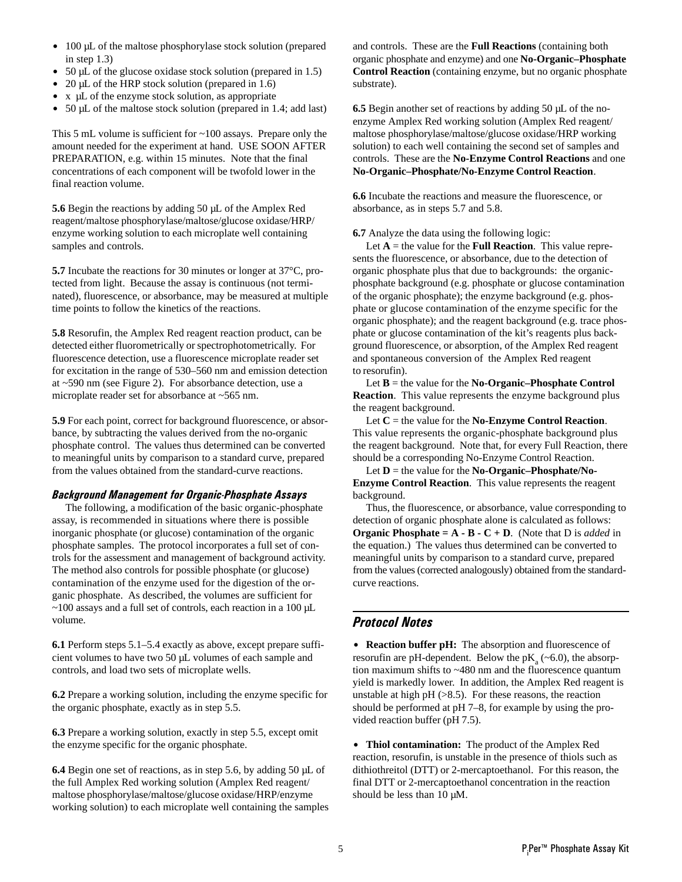- 100 µL of the maltose phosphorylase stock solution (prepared in step 1.3)
- $50 \mu L$  of the glucose oxidase stock solution (prepared in 1.5)
- $\bullet$  20 µL of the HRP stock solution (prepared in 1.6)
- $\bullet$  x  $\mu$ L of the enzyme stock solution, as appropriate
- $\bullet$  50 µL of the maltose stock solution (prepared in 1.4; add last)

This 5 mL volume is sufficient for ~100 assays. Prepare only the amount needed for the experiment at hand. USE SOON AFTER PREPARATION, e.g. within 15 minutes. Note that the final concentrations of each component will be twofold lower in the final reaction volume.

**5.6** Begin the reactions by adding 50 µL of the Amplex Red reagent/maltose phosphorylase/maltose/glucose oxidase/HRP/ enzyme working solution to each microplate well containing samples and controls.

**5.7** Incubate the reactions for 30 minutes or longer at 37°C, protected from light. Because the assay is continuous (not terminated), fluorescence, or absorbance, may be measured at multiple time points to follow the kinetics of the reactions.

**5.8** Resorufin, the Amplex Red reagent reaction product, can be detected either fluorometrically or spectrophotometrically. For fluorescence detection, use a fluorescence microplate reader set for excitation in the range of 530–560 nm and emission detection at ~590 nm (see Figure 2). For absorbance detection, use a microplate reader set for absorbance at ~565 nm.

**5.9** For each point, correct for background fluorescence, or absorbance, by subtracting the values derived from the no-organic phosphate control. The values thus determined can be converted to meaningful units by comparison to a standard curve, prepared from the values obtained from the standard-curve reactions.

#### Background Management for Organic-Phosphate Assays

The following, a modification of the basic organic-phosphate assay, is recommended in situations where there is possible inorganic phosphate (or glucose) contamination of the organic phosphate samples. The protocol incorporates a full set of controls for the assessment and management of background activity. The method also controls for possible phosphate (or glucose) contamination of the enzyme used for the digestion of the organic phosphate. As described, the volumes are sufficient for ~100 assays and a full set of controls, each reaction in a 100 µL volume.

**6.1** Perform steps 5.1–5.4 exactly as above, except prepare sufficient volumes to have two 50 µL volumes of each sample and controls, and load two sets of microplate wells.

**6.2** Prepare a working solution, including the enzyme specific for the organic phosphate, exactly as in step 5.5.

**6.3** Prepare a working solution, exactly in step 5.5, except omit the enzyme specific for the organic phosphate.

**6.4** Begin one set of reactions, as in step 5.6, by adding 50 µL of the full Amplex Red working solution (Amplex Red reagent/ maltose phosphorylase/maltose/glucose oxidase/HRP/enzyme working solution) to each microplate well containing the samples and controls. These are the **Full Reactions** (containing both organic phosphate and enzyme) and one **No-Organic–Phosphate Control Reaction** (containing enzyme, but no organic phosphate substrate).

**6.5** Begin another set of reactions by adding 50 µL of the noenzyme Amplex Red working solution (Amplex Red reagent/ maltose phosphorylase/maltose/glucose oxidase/HRP working solution) to each well containing the second set of samples and controls. These are the **No-Enzyme Control Reactions** and one **No-Organic–Phosphate/No-Enzyme Control Reaction**.

**6.6** Incubate the reactions and measure the fluorescence, or absorbance, as in steps 5.7 and 5.8.

**6.7** Analyze the data using the following logic:

Let  $A =$  the value for the **Full Reaction**. This value represents the fluorescence, or absorbance, due to the detection of organic phosphate plus that due to backgrounds: the organicphosphate background (e.g. phosphate or glucose contamination of the organic phosphate); the enzyme background (e.g. phosphate or glucose contamination of the enzyme specific for the organic phosphate); and the reagent background (e.g. trace phosphate or glucose contamination of the kit's reagents plus background fluorescence, or absorption, of the Amplex Red reagent and spontaneous conversion of the Amplex Red reagent to resorufin).

Let **B** = the value for the **No-Organic–Phosphate Control Reaction**. This value represents the enzyme background plus the reagent background.

Let  $C =$  the value for the **No-Enzyme Control Reaction**. This value represents the organic-phosphate background plus the reagent background. Note that, for every Full Reaction, there should be a corresponding No-Enzyme Control Reaction.

Let **D** = the value for the **No-Organic–Phosphate/No-Enzyme Control Reaction**. This value represents the reagent background.

Thus, the fluorescence, or absorbance, value corresponding to detection of organic phosphate alone is calculated as follows: **Organic Phosphate = A - B - C + D**. (Note that D is *added* in the equation.) The values thus determined can be converted to meaningful units by comparison to a standard curve, prepared from the values (corrected analogously) obtained from the standardcurve reactions.

## Protocol Notes

• **Reaction buffer pH:** The absorption and fluorescence of resoruf in are pH-dependent. Below the  $pK_a$  (~6.0), the absorption maximum shifts to ~480 nm and the fluorescence quantum yield is markedly lower. In addition, the Amplex Red reagent is unstable at high  $pH$  ( $>8.5$ ). For these reasons, the reaction should be performed at pH 7–8, for example by using the provided reaction buffer (pH 7.5).

 $\bullet$  Thiol contamination: The product of the Amplex Red reaction, resorufin, is unstable in the presence of thiols such as dithiothreitol (DTT) or 2-mercaptoethanol. For this reason, the final DTT or 2-mercaptoethanol concentration in the reaction should be less than 10  $\mu$ M.